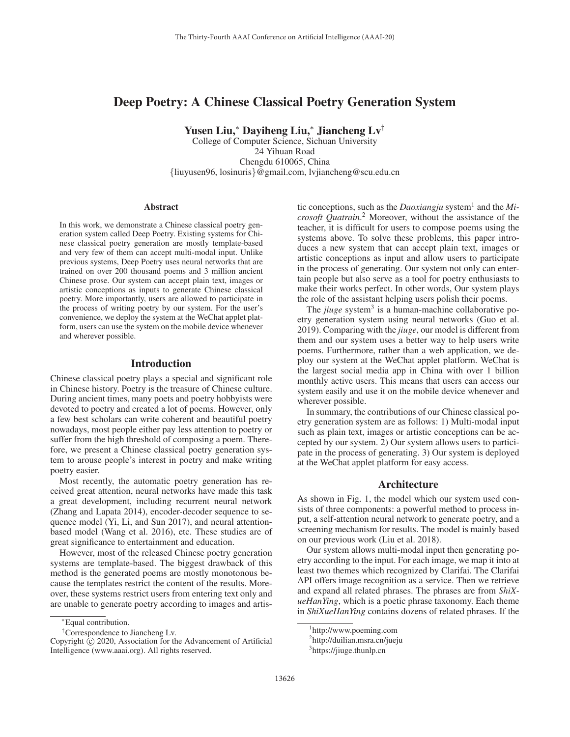# Deep Poetry: A Chinese Classical Poetry Generation System

Yusen Liu,<sup>∗</sup> Dayiheng Liu,<sup>∗</sup> Jiancheng Lv†

College of Computer Science, Sichuan University 24 Yihuan Road Chengdu 610065, China {liuyusen96, losinuris}@gmail.com, lvjiancheng@scu.edu.cn

#### **Abstract**

In this work, we demonstrate a Chinese classical poetry generation system called Deep Poetry. Existing systems for Chinese classical poetry generation are mostly template-based and very few of them can accept multi-modal input. Unlike previous systems, Deep Poetry uses neural networks that are trained on over 200 thousand poems and 3 million ancient Chinese prose. Our system can accept plain text, images or artistic conceptions as inputs to generate Chinese classical poetry. More importantly, users are allowed to participate in the process of writing poetry by our system. For the user's convenience, we deploy the system at the WeChat applet platform, users can use the system on the mobile device whenever and wherever possible.

# Introduction

Chinese classical poetry plays a special and significant role in Chinese history. Poetry is the treasure of Chinese culture. During ancient times, many poets and poetry hobbyists were devoted to poetry and created a lot of poems. However, only a few best scholars can write coherent and beautiful poetry nowadays, most people either pay less attention to poetry or suffer from the high threshold of composing a poem. Therefore, we present a Chinese classical poetry generation system to arouse people's interest in poetry and make writing poetry easier.

Most recently, the automatic poetry generation has received great attention, neural networks have made this task a great development, including recurrent neural network (Zhang and Lapata 2014), encoder-decoder sequence to sequence model (Yi, Li, and Sun 2017), and neural attentionbased model (Wang et al. 2016), etc. These studies are of great significance to entertainment and education.

However, most of the released Chinese poetry generation systems are template-based. The biggest drawback of this method is the generated poems are mostly monotonous because the templates restrict the content of the results. Moreover, these systems restrict users from entering text only and are unable to generate poetry according to images and artis-

tic conceptions, such as the *Daoxiangju* system<sup>1</sup> and the  $Mi$ *crosoft Quatrain*.<sup>2</sup> Moreover, without the assistance of the teacher it is difficult for users to compose poems using the teacher, it is difficult for users to compose poems using the systems above. To solve these problems, this paper introduces a new system that can accept plain text, images or artistic conceptions as input and allow users to participate in the process of generating. Our system not only can entertain people but also serve as a tool for poetry enthusiasts to make their works perfect. In other words, Our system plays the role of the assistant helping users polish their poems.

The *jiuge* system<sup>3</sup> is a human-machine collaborative poetry generation system using neural networks (Guo et al. 2019). Comparing with the *jiuge*, our model is different from them and our system uses a better way to help users write poems. Furthermore, rather than a web application, we deploy our system at the WeChat applet platform. WeChat is the largest social media app in China with over 1 billion monthly active users. This means that users can access our system easily and use it on the mobile device whenever and wherever possible.

In summary, the contributions of our Chinese classical poetry generation system are as follows: 1) Multi-modal input such as plain text, images or artistic conceptions can be accepted by our system. 2) Our system allows users to participate in the process of generating. 3) Our system is deployed at the WeChat applet platform for easy access.

#### Architecture

As shown in Fig. 1, the model which our system used consists of three components: a powerful method to process input, a self-attention neural network to generate poetry, and a screening mechanism for results. The model is mainly based on our previous work (Liu et al. 2018).

Our system allows multi-modal input then generating poetry according to the input. For each image, we map it into at least two themes which recognized by Clarifai. The Clarifai API offers image recognition as a service. Then we retrieve and expand all related phrases. The phrases are from *ShiXueHanYing*, which is a poetic phrase taxonomy. Each theme in *ShiXueHanYing* contains dozens of related phrases. If the

<sup>∗</sup>Equal contribution.

<sup>†</sup>Correspondence to Jiancheng Lv.

Copyright  $\odot$  2020, Association for the Advancement of Artificial Intelligence (www.aaai.org). All rights reserved.

<sup>1</sup> http://www.poeming.com

<sup>&</sup>lt;sup>2</sup>http://duilian.msra.cn/jueju

<sup>&</sup>lt;sup>3</sup>https://jiuge.thunlp.cn